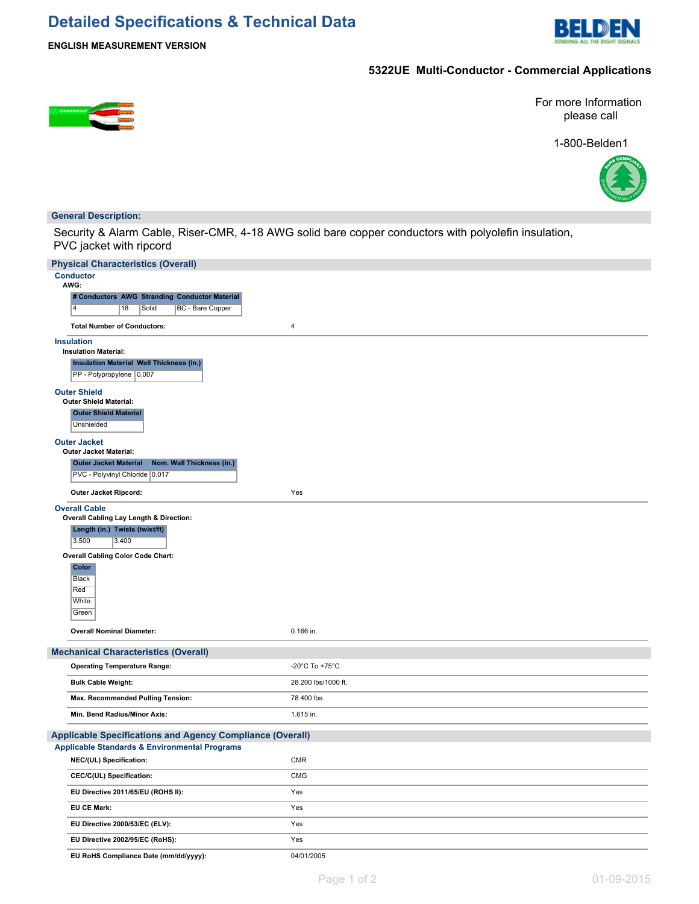# **Detailed Specifications & Technical Data**



**ENGLISH MEASUREMENT VERSION**

# **5322UE Multi-Conductor - Commercial Applications**

For more Information please call

1-800-Belden1



### **General Description:**

Security & Alarm Cable, Riser-CMR, 4-18 AWG solid bare copper conductors with polyolefin insulation, PVC jacket with ripcord

| <b>Physical Characteristics (Overall)</b>                                                                                                                                                                                                             |                     |
|-------------------------------------------------------------------------------------------------------------------------------------------------------------------------------------------------------------------------------------------------------|---------------------|
| <b>Conductor</b><br>AWG:                                                                                                                                                                                                                              |                     |
| # Conductors AWG Stranding Conductor Material                                                                                                                                                                                                         |                     |
| $\overline{4}$<br>18<br>Solid<br>BC - Bare Copper                                                                                                                                                                                                     |                     |
| <b>Total Number of Conductors:</b>                                                                                                                                                                                                                    | 4                   |
| <b>Insulation</b><br><b>Insulation Material:</b><br><b>Insulation Material Wall Thickness (in.)</b><br>PP - Polypropylene 0.007                                                                                                                       |                     |
| <b>Outer Shield</b><br><b>Outer Shield Material:</b><br><b>Outer Shield Material</b><br>Unshielded                                                                                                                                                    |                     |
| <b>Outer Jacket</b><br><b>Outer Jacket Material:</b><br>Nom. Wall Thickness (in.)<br><b>Outer Jacket Material</b><br>PVC - Polyvinyl Chloride 0.017                                                                                                   |                     |
| Outer Jacket Ripcord:                                                                                                                                                                                                                                 | Yes                 |
| <b>Overall Cable</b><br>Overall Cabling Lay Length & Direction:<br>Length (in.) Twists (twist/ft)<br>3.500<br>3.400<br><b>Overall Cabling Color Code Chart:</b><br><b>Color</b><br>Black<br>Red<br>White<br>Green<br><b>Overall Nominal Diameter:</b> | 0.166 in.           |
|                                                                                                                                                                                                                                                       |                     |
| <b>Mechanical Characteristics (Overall)</b>                                                                                                                                                                                                           | -20°C To +75°C      |
| <b>Operating Temperature Range:</b>                                                                                                                                                                                                                   |                     |
| <b>Bulk Cable Weight:</b>                                                                                                                                                                                                                             | 28.200 lbs/1000 ft. |
| Max. Recommended Pulling Tension:                                                                                                                                                                                                                     | 78.400 lbs.         |
| Min. Bend Radius/Minor Axis:                                                                                                                                                                                                                          | 1.615 in.           |
| Applicable Specifications and Agency Compliance (Overall)                                                                                                                                                                                             |                     |
| Applicable Standards & Environmental Programs                                                                                                                                                                                                         |                     |
| NEC/(UL) Specification:                                                                                                                                                                                                                               | <b>CMR</b>          |
| CEC/C(UL) Specification:                                                                                                                                                                                                                              | <b>CMG</b>          |
| EU Directive 2011/65/EU (ROHS II):                                                                                                                                                                                                                    | Yes                 |
| EU CE Mark:                                                                                                                                                                                                                                           | Yes                 |
| EU Directive 2000/53/EC (ELV):                                                                                                                                                                                                                        | Yes                 |
| EU Directive 2002/95/EC (RoHS):                                                                                                                                                                                                                       | Yes                 |
| EU RoHS Compliance Date (mm/dd/yyyy):                                                                                                                                                                                                                 | 04/01/2005          |